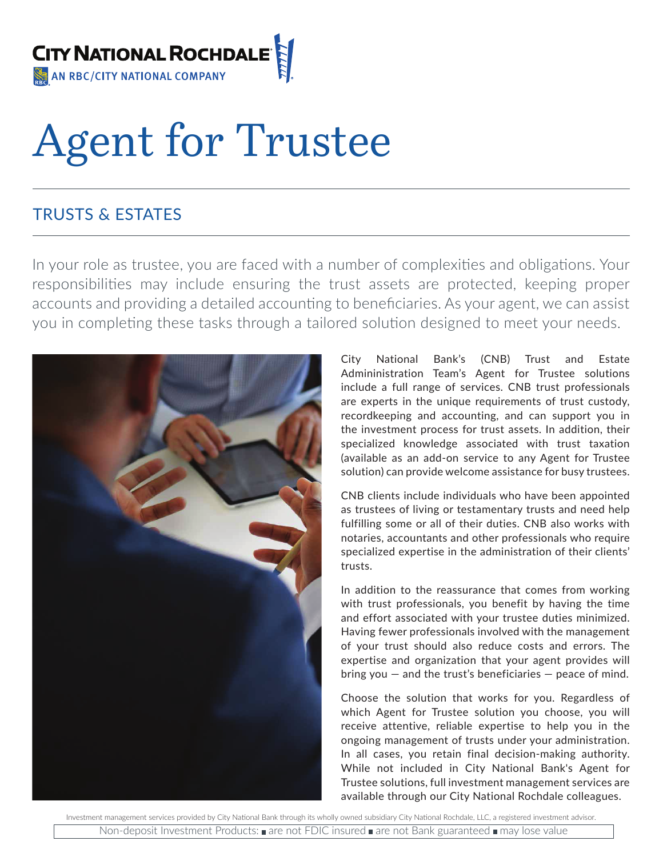

# Agent for Trustee

# TRUSTS & ESTATES

In your role as trustee, you are faced with a number of complexities and obligations. Your responsibilities may include ensuring the trust assets are protected, keeping proper accounts and providing a detailed accounting to beneficiaries. As your agent, we can assist you in completing these tasks through a tailored solution designed to meet your needs.



City National Bank's (CNB) Trust and Estate Admininistration Team's Agent for Trustee solutions include a full range of services. CNB trust professionals are experts in the unique requirements of trust custody, recordkeeping and accounting, and can support you in the investment process for trust assets. In addition, their specialized knowledge associated with trust taxation (available as an add-on service to any Agent for Trustee solution) can provide welcome assistance for busy trustees.

CNB clients include individuals who have been appointed as trustees of living or testamentary trusts and need help fulfilling some or all of their duties. CNB also works with notaries, accountants and other professionals who require specialized expertise in the administration of their clients' trusts.

In addition to the reassurance that comes from working with trust professionals, you benefit by having the time and effort associated with your trustee duties minimized. Having fewer professionals involved with the management of your trust should also reduce costs and errors. The expertise and organization that your agent provides will bring you  $-$  and the trust's beneficiaries  $-$  peace of mind.

Choose the solution that works for you. Regardless of which Agent for Trustee solution you choose, you will receive attentive, reliable expertise to help you in the ongoing management of trusts under your administration. In all cases, you retain final decision-making authority. While not included in City National Bank's Agent for Trustee solutions, full investment management services are available through our City National Rochdale colleagues.

Investment management services provided by City National Bank through its wholly owned subsidiary City National Rochdale, LLC, a registered investment advisor. Non-deposit Investment Products:  $\blacksquare$  are not FDIC insured  $\blacksquare$  are not Bank guaranteed  $\blacksquare$  may lose value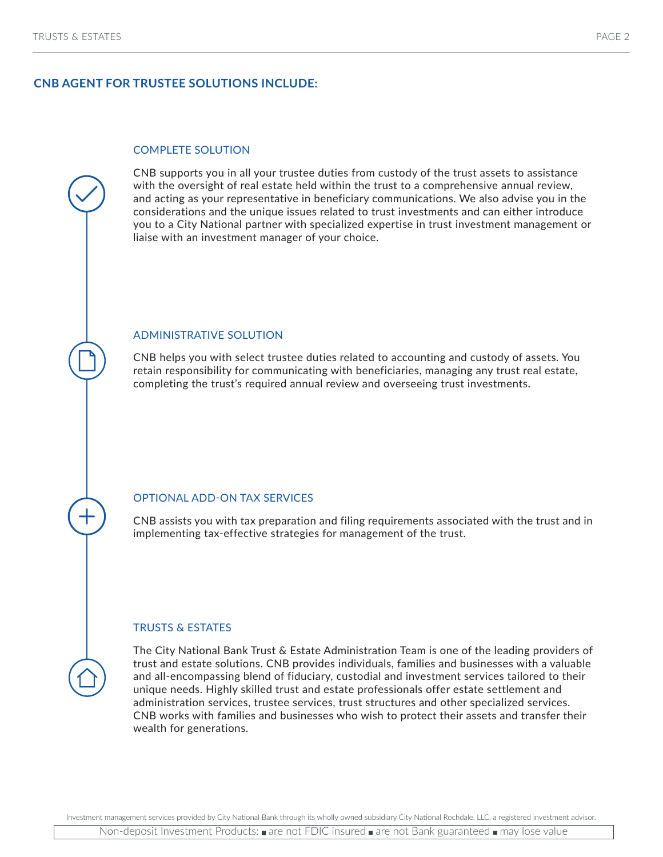### **CNB AGENT FOR TRUSTEE SOLUTIONS INCLUDE:**

#### COMPLETE SOLUTION

CNB supports you in all your trustee duties from custody of the trust assets to assistance with the oversight of real estate held within the trust to a comprehensive annual review, and acting as your representative in beneficiary communications. We also advise you in the considerations and the unique issues related to trust investments and can either introduce you to a City National partner with specialized expertise in trust investment management or liaise with an investment manager of your choice.

#### ADMINISTRATIVE SOLUTION

CNB helps you with select trustee duties related to accounting and custody of assets. You retain responsibility for communicating with beneficiaries, managing any trust real estate, completing the trust's required annual review and overseeing trust investments.

#### OPTIONAL ADD-ON TAX SERVICES

CNB assists you with tax preparation and filing requirements associated with the trust and in implementing tax-effective strategies for management of the trust.

#### TRUSTS & ESTATES

The City National Bank Trust & Estate Administration Team is one of the leading providers of trust and estate solutions. CNB provides individuals, families and businesses with a valuable and all-encompassing blend of fiduciary, custodial and investment services tailored to their unique needs. Highly skilled trust and estate professionals offer estate settlement and administration services, trustee services, trust structures and other specialized services. CNB works with families and businesses who wish to protect their assets and transfer their wealth for generations.

Investment management services provided by City National Bank through its wholly owned subsidiary City National Rochdale, LLC, a registered investment advisor.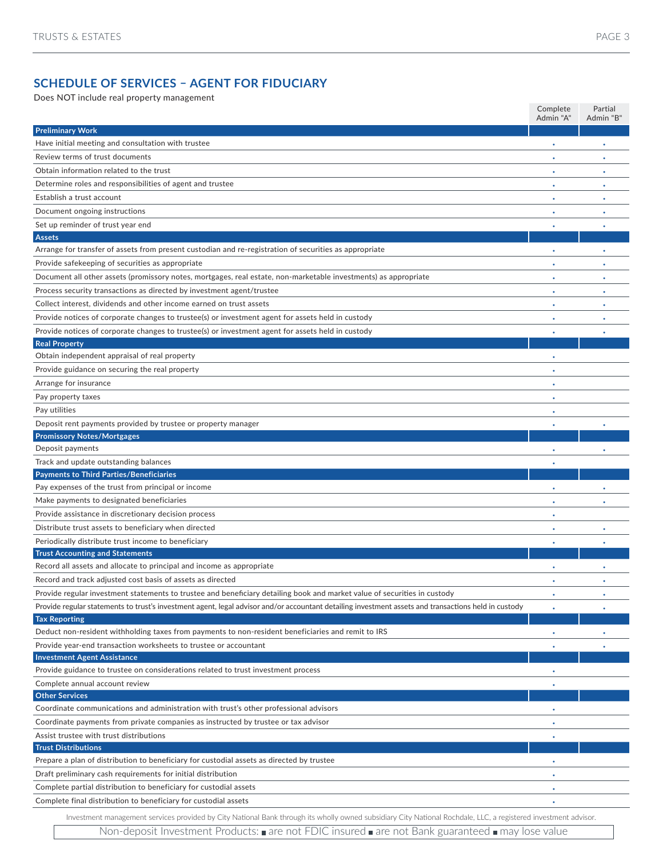## **SCHEDULE OF SERVICES – AGENT FOR FIDUCIARY**

Does NOT include real property management

|                                                                                                                                                                 | Complete<br>Admin "A" | Partial<br>Admin "B' |
|-----------------------------------------------------------------------------------------------------------------------------------------------------------------|-----------------------|----------------------|
| <b>Preliminary Work</b>                                                                                                                                         |                       |                      |
| Have initial meeting and consultation with trustee                                                                                                              |                       |                      |
| Review terms of trust documents                                                                                                                                 |                       |                      |
| Obtain information related to the trust                                                                                                                         |                       |                      |
| Determine roles and responsibilities of agent and trustee                                                                                                       |                       |                      |
| Establish a trust account                                                                                                                                       |                       |                      |
| Document ongoing instructions                                                                                                                                   |                       |                      |
| Set up reminder of trust year end                                                                                                                               | ٠                     | ٠                    |
| <b>Assets</b>                                                                                                                                                   |                       |                      |
| Arrange for transfer of assets from present custodian and re-registration of securities as appropriate                                                          |                       |                      |
| Provide safekeeping of securities as appropriate                                                                                                                |                       |                      |
| Document all other assets (promissory notes, mortgages, real estate, non-marketable investments) as appropriate                                                 | ٠                     | ٠                    |
| Process security transactions as directed by investment agent/trustee                                                                                           | ٠                     | ٠                    |
| Collect interest, dividends and other income earned on trust assets                                                                                             |                       |                      |
| Provide notices of corporate changes to trustee(s) or investment agent for assets held in custody                                                               | ٠                     | ٠                    |
|                                                                                                                                                                 |                       |                      |
| Provide notices of corporate changes to trustee(s) or investment agent for assets held in custody<br><b>Real Property</b>                                       |                       |                      |
| Obtain independent appraisal of real property                                                                                                                   |                       |                      |
| Provide guidance on securing the real property                                                                                                                  |                       |                      |
|                                                                                                                                                                 |                       |                      |
| Arrange for insurance                                                                                                                                           |                       |                      |
| Pay property taxes                                                                                                                                              |                       |                      |
| Pay utilities                                                                                                                                                   |                       |                      |
| Deposit rent payments provided by trustee or property manager                                                                                                   |                       |                      |
| <b>Promissory Notes/Mortgages</b>                                                                                                                               |                       |                      |
| Deposit payments                                                                                                                                                |                       |                      |
| Track and update outstanding balances                                                                                                                           |                       |                      |
| <b>Payments to Third Parties/Beneficiaries</b><br>Pay expenses of the trust from principal or income                                                            |                       |                      |
|                                                                                                                                                                 |                       |                      |
| Make payments to designated beneficiaries                                                                                                                       |                       |                      |
| Provide assistance in discretionary decision process                                                                                                            |                       |                      |
| Distribute trust assets to beneficiary when directed                                                                                                            |                       |                      |
| Periodically distribute trust income to beneficiary                                                                                                             |                       |                      |
| <b>Trust Accounting and Statements</b><br>Record all assets and allocate to principal and income as appropriate                                                 |                       |                      |
|                                                                                                                                                                 |                       |                      |
| Record and track adjusted cost basis of assets as directed                                                                                                      |                       |                      |
| Provide regular investment statements to trustee and beneficiary detailing book and market value of securities in custody                                       | ٠                     | ٠                    |
| Provide regular statements to trust's investment agent, legal advisor and/or accountant detailing investment assets and transactions held in custody            |                       |                      |
| <b>Tax Reporting</b>                                                                                                                                            |                       |                      |
| Deduct non-resident withholding taxes from payments to non-resident beneficiaries and remit to IRS                                                              |                       |                      |
| Provide year-end transaction worksheets to trustee or accountant<br><b>Investment Agent Assistance</b>                                                          |                       |                      |
| Provide guidance to trustee on considerations related to trust investment process                                                                               |                       |                      |
| Complete annual account review                                                                                                                                  |                       |                      |
| <b>Other Services</b>                                                                                                                                           |                       |                      |
| Coordinate communications and administration with trust's other professional advisors                                                                           |                       |                      |
| Coordinate payments from private companies as instructed by trustee or tax advisor                                                                              |                       |                      |
| Assist trustee with trust distributions                                                                                                                         |                       |                      |
| <b>Trust Distributions</b>                                                                                                                                      |                       |                      |
| Prepare a plan of distribution to beneficiary for custodial assets as directed by trustee                                                                       |                       |                      |
| Draft preliminary cash requirements for initial distribution                                                                                                    |                       |                      |
| Complete partial distribution to beneficiary for custodial assets                                                                                               |                       |                      |
| Complete final distribution to beneficiary for custodial assets                                                                                                 |                       |                      |
|                                                                                                                                                                 |                       |                      |
| Investment management services provided by City National Bank through its wholly owned subsidiary City National Rochdale, LLC, a registered investment advisor. |                       |                      |

Non-deposit Investment Products: are not FDIC insured are not Bank guaranteed a may lose value